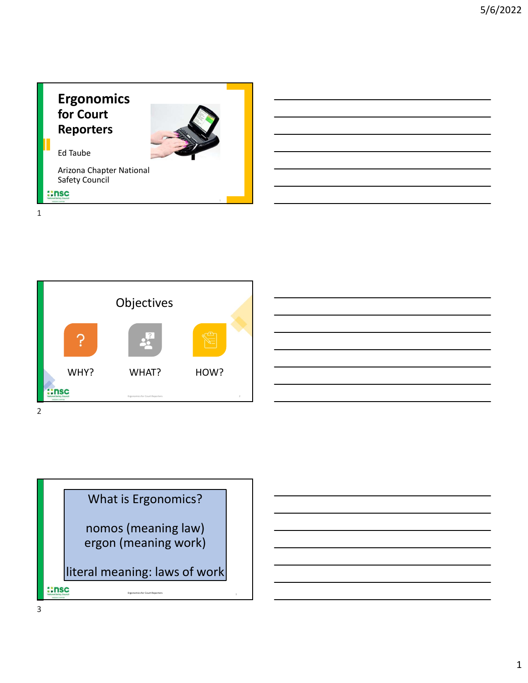



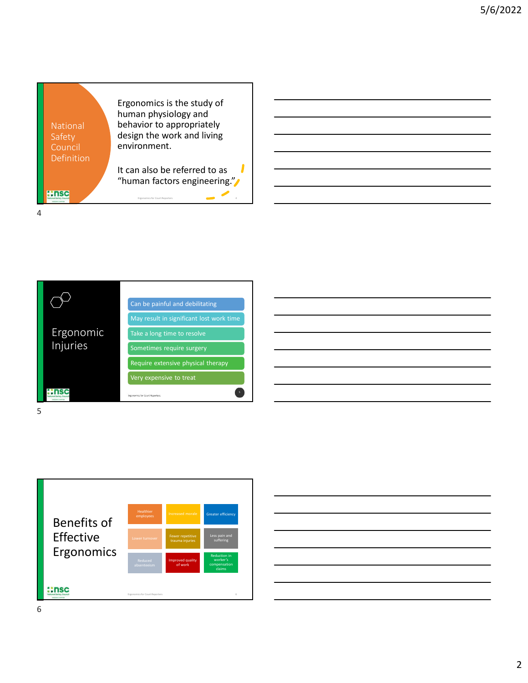| Ergonomics is the study of<br>human physiology and<br>behavior to appropriately<br>National<br>design the work and living<br>Safety<br>environment.<br>Council<br>Definition<br>It can also be referred to as<br>"human factors engineering."<br><b>::nsc</b><br>Ergonomics for Court Reporters |  |
|-------------------------------------------------------------------------------------------------------------------------------------------------------------------------------------------------------------------------------------------------------------------------------------------------|--|
|                                                                                                                                                                                                                                                                                                 |  |
|                                                                                                                                                                                                                                                                                                 |  |
|                                                                                                                                                                                                                                                                                                 |  |
|                                                                                                                                                                                                                                                                                                 |  |
|                                                                                                                                                                                                                                                                                                 |  |
|                                                                                                                                                                                                                                                                                                 |  |
|                                                                                                                                                                                                                                                                                                 |  |









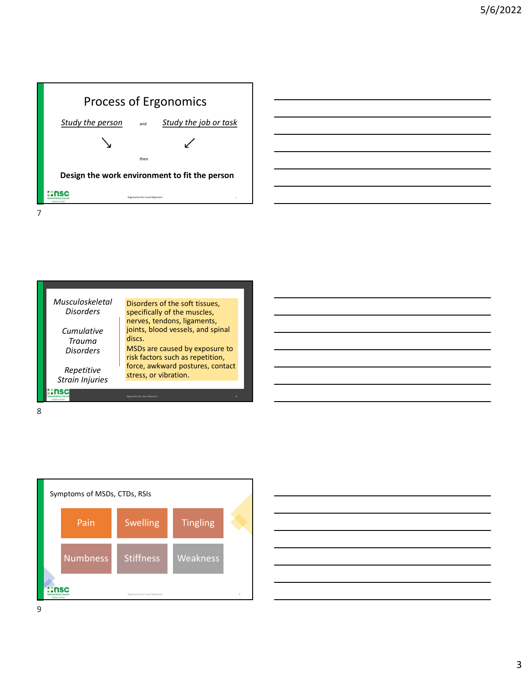







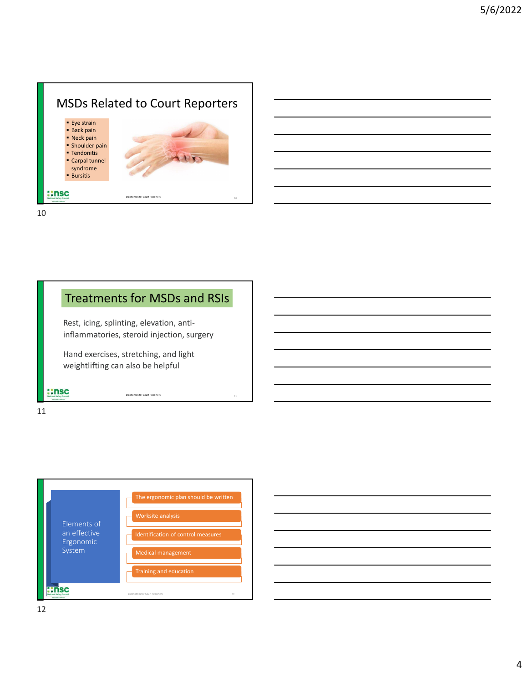

10

### Treatments for MSDs and RSIs Rest, icing, splinting, elevation, antiinflammatories, steroid injection, surgery Hand exercises, stretching, and light weightlifting can also be helpful **::nsc**

Ergonomics for Court Reporters and the control of the control of the control of the control of the control of the control of the control of the control of the control of the control of the control of the control of the con



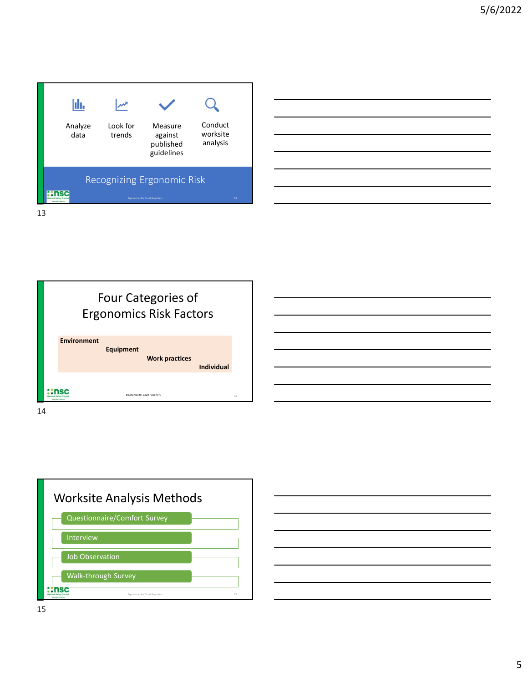







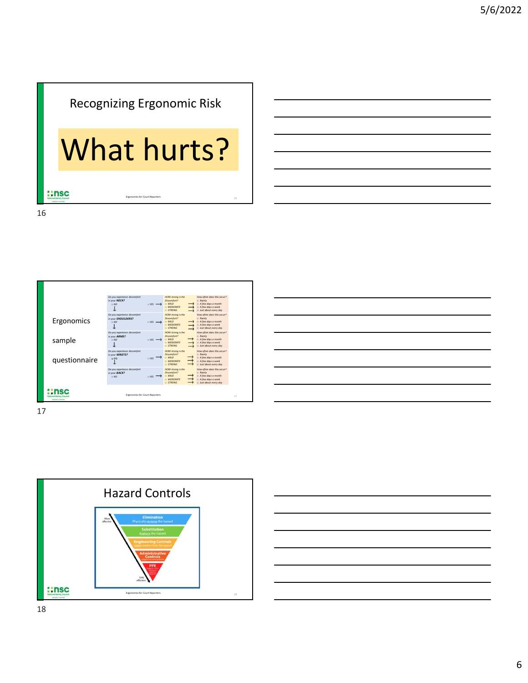## Recognizing Ergonomic Risk

# What hurts?

|               | <b>Recognizing Ergonomic Risk</b>                          |                                        |                                                                                                                                               |                                                                                                                                                                  |        |  |  |  |
|---------------|------------------------------------------------------------|----------------------------------------|-----------------------------------------------------------------------------------------------------------------------------------------------|------------------------------------------------------------------------------------------------------------------------------------------------------------------|--------|--|--|--|
|               |                                                            |                                        |                                                                                                                                               |                                                                                                                                                                  |        |  |  |  |
| What hurts?   |                                                            |                                        |                                                                                                                                               |                                                                                                                                                                  |        |  |  |  |
|               |                                                            |                                        |                                                                                                                                               |                                                                                                                                                                  |        |  |  |  |
|               |                                                            |                                        |                                                                                                                                               |                                                                                                                                                                  |        |  |  |  |
| ::nsc         |                                                            | <b>Ergonomics for Court Reporters</b>  |                                                                                                                                               |                                                                                                                                                                  | 16     |  |  |  |
|               |                                                            |                                        |                                                                                                                                               |                                                                                                                                                                  |        |  |  |  |
|               |                                                            |                                        |                                                                                                                                               |                                                                                                                                                                  |        |  |  |  |
|               |                                                            |                                        |                                                                                                                                               |                                                                                                                                                                  |        |  |  |  |
|               |                                                            |                                        |                                                                                                                                               |                                                                                                                                                                  |        |  |  |  |
|               |                                                            |                                        |                                                                                                                                               |                                                                                                                                                                  |        |  |  |  |
|               |                                                            |                                        |                                                                                                                                               |                                                                                                                                                                  |        |  |  |  |
|               |                                                            |                                        |                                                                                                                                               |                                                                                                                                                                  |        |  |  |  |
|               |                                                            |                                        |                                                                                                                                               |                                                                                                                                                                  |        |  |  |  |
|               |                                                            |                                        |                                                                                                                                               |                                                                                                                                                                  |        |  |  |  |
|               | Do you experience discomfort                               |                                        | HOW strong is the                                                                                                                             | How often does this occur?                                                                                                                                       |        |  |  |  |
|               | in your NECK?<br>$\square$<br>NO<br>$\downarrow$           | $T = YES$                              | Discomfort?<br>MID<br>$\rightarrow$<br>MODERATE<br><b>STRONG</b>                                                                              | $\begin{array}{l} \Box \ \ \textit{Rarely} \\ \Box \ \ \textit{A few days} \ \textit{a month} \end{array}$<br>$\Box$ A few days a week<br>a Just about every day |        |  |  |  |
| Ergonomics    | Do you experience discomfort<br>in your SHOULDERS?         |                                        | HOW strong is the                                                                                                                             |                                                                                                                                                                  |        |  |  |  |
|               | $\Box$ NO<br>$\downarrow$                                  | $S = YES$ $\longrightarrow$ $S = MILD$ | Discomfort?<br><b>D. MODERATE</b><br>$\rightarrow$<br><b>STRONG</b>                                                                           | How often does this occur?<br><b>Barely</b><br>$\Box$ A few days a month<br>$\Box$ A few days a week<br>p Just about every day                                   |        |  |  |  |
| sample        | Do you experience discomfort<br>in your ARMS?<br>$\Box$ NO | $T = YES$ $\longrightarrow$            | HOW strong is the<br>Discomfort?<br>$\rightarrow$<br>MID<br>$\Box$ MODERATE<br>$\rightarrow$                                                  | How often does this occur?<br>$B = R$ arely<br>$\begin{array}{l} \square \ \ A \textit{few days a month}\\ \square \ \ A \textit{few days a week} \end{array}$   |        |  |  |  |
|               | $\downarrow$<br>Do you experience discomfort               |                                        | $\scriptstyle\Box$ STRONG<br>$\rightarrow$<br>HOW strong is the                                                                               | $\Box$ Just about every day<br>How often does this occur?                                                                                                        |        |  |  |  |
| questionnaire | in your WRISTS?<br>$\mathbb{T}^{\infty}$                   | $\rightarrow$<br>□ YES                 | Discomfort?<br>$\rightarrow$<br>MID<br>$\rightarrow$<br><b>D MODERATE</b><br>$\rightarrow$<br><b>STRONG</b>                                   | $B = R$ arely<br>$\Box$ A few days a month<br>$\Box$ A few days a week<br>a Just about every day                                                                 |        |  |  |  |
|               | Do you experience discomfort<br>in your BACK?<br>$\Box$ NO | $T = YES$                              | HOW strong is the<br>Discomfort?<br>$\rightarrow$<br>$\Box$ MILD<br>$\rightarrow$<br><b>D. MODERATE</b><br>$\longrightarrow$<br><b>STRONG</b> | How often does this occur?<br><b>Barely</b><br>$\Box$ A few days a month<br>$\Box$ A few days a week<br>a Just about every day                                   |        |  |  |  |
| ::nsc         |                                                            | Ergonomics for Court Reporters         |                                                                                                                                               |                                                                                                                                                                  | $17\,$ |  |  |  |
|               |                                                            |                                        |                                                                                                                                               |                                                                                                                                                                  |        |  |  |  |
| 17            |                                                            |                                        |                                                                                                                                               |                                                                                                                                                                  |        |  |  |  |
|               |                                                            |                                        |                                                                                                                                               |                                                                                                                                                                  |        |  |  |  |
|               |                                                            |                                        |                                                                                                                                               |                                                                                                                                                                  |        |  |  |  |

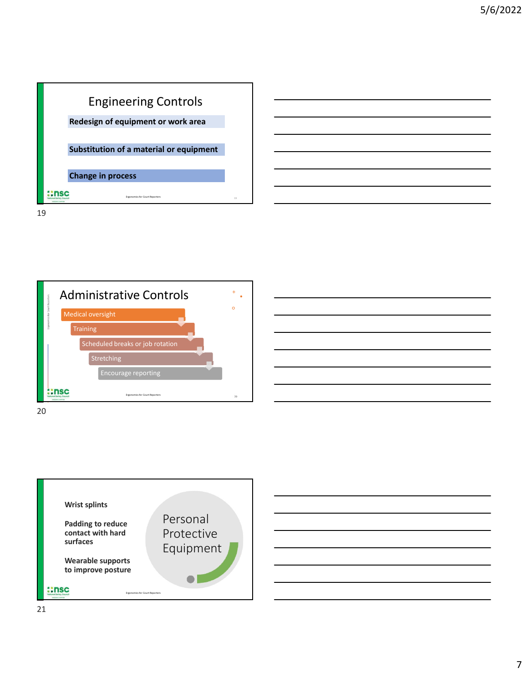

Administrative Controls  $\overline{\phantom{a}}$  .  $\circ$ Medical oversight Training Scheduled breaks or job rotation Stretching Encourage reporting **::nsc** Ergonomics for Court Reporters